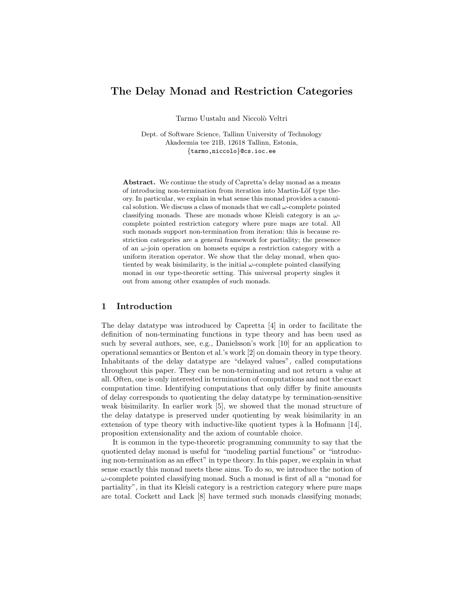# The Delay Monad and Restriction Categories

Tarmo Uustalu and Niccolò Veltri

Dept. of Software Science, Tallinn University of Technology Akadeemia tee 21B, 12618 Tallinn, Estonia, {tarmo,niccolo}@cs.ioc.ee

Abstract. We continue the study of Capretta's delay monad as a means of introducing non-termination from iteration into Martin-Löf type theory. In particular, we explain in what sense this monad provides a canonical solution. We discuss a class of monads that we call  $\omega$ -complete pointed classifying monads. These are monads whose Kleisli category is an  $\omega$ complete pointed restriction category where pure maps are total. All such monads support non-termination from iteration: this is because restriction categories are a general framework for partiality; the presence of an  $\omega$ -join operation on homsets equips a restriction category with a uniform iteration operator. We show that the delay monad, when quotiented by weak bisimilarity, is the initial  $\omega$ -complete pointed classifying monad in our type-theoretic setting. This universal property singles it out from among other examples of such monads.

# 1 Introduction

The delay datatype was introduced by Capretta [4] in order to facilitate the definition of non-terminating functions in type theory and has been used as such by several authors, see, e.g., Danielsson's work [10] for an application to operational semantics or Benton et al.'s work [2] on domain theory in type theory. Inhabitants of the delay datatype are "delayed values", called computations throughout this paper. They can be non-terminating and not return a value at all. Often, one is only interested in termination of computations and not the exact computation time. Identifying computations that only differ by finite amounts of delay corresponds to quotienting the delay datatype by termination-sensitive weak bisimilarity. In earlier work [5], we showed that the monad structure of the delay datatype is preserved under quotienting by weak bisimilarity in an extension of type theory with inductive-like quotient types  $\grave{a}$  la Hofmann [14], proposition extensionality and the axiom of countable choice.

It is common in the type-theoretic programming community to say that the quotiented delay monad is useful for "modeling partial functions" or "introducing non-termination as an effect" in type theory. In this paper, we explain in what sense exactly this monad meets these aims. To do so, we introduce the notion of  $\omega$ -complete pointed classifying monad. Such a monad is first of all a "monad for partiality", in that its Kleisli category is a restriction category where pure maps are total. Cockett and Lack [8] have termed such monads classifying monads;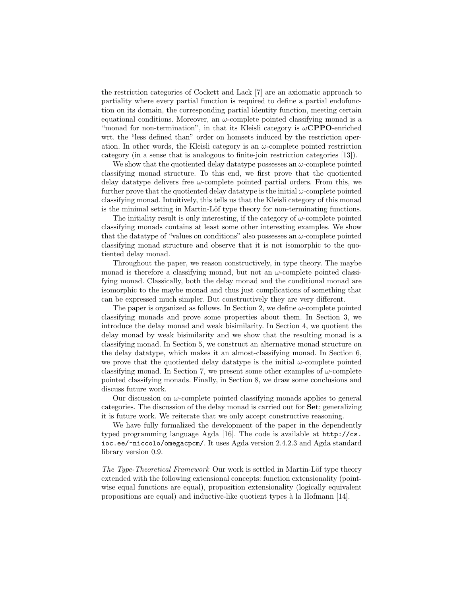the restriction categories of Cockett and Lack [7] are an axiomatic approach to partiality where every partial function is required to define a partial endofunction on its domain, the corresponding partial identity function, meeting certain equational conditions. Moreover, an  $\omega$ -complete pointed classifying monad is a "monad for non-termination", in that its Kleisli category is  $\omega$ CPPO-enriched wrt. the "less defined than" order on homsets induced by the restriction operation. In other words, the Kleisli category is an  $\omega$ -complete pointed restriction category (in a sense that is analogous to finite-join restriction categories [13]).

We show that the quotiented delay data type possesses an  $\omega$ -complete pointed classifying monad structure. To this end, we first prove that the quotiented delay datatype delivers free  $\omega$ -complete pointed partial orders. From this, we further prove that the quotiented delay data type is the initial  $\omega$ -complete pointed classifying monad. Intuitively, this tells us that the Kleisli category of this monad is the minimal setting in Martin-Löf type theory for non-terminating functions.

The initiality result is only interesting, if the category of  $\omega$ -complete pointed classifying monads contains at least some other interesting examples. We show that the datatype of "values on conditions" also possesses an  $\omega$ -complete pointed classifying monad structure and observe that it is not isomorphic to the quotiented delay monad.

Throughout the paper, we reason constructively, in type theory. The maybe monad is therefore a classifying monad, but not an  $\omega$ -complete pointed classifying monad. Classically, both the delay monad and the conditional monad are isomorphic to the maybe monad and thus just complications of something that can be expressed much simpler. But constructively they are very different.

The paper is organized as follows. In Section 2, we define  $\omega$ -complete pointed classifying monads and prove some properties about them. In Section 3, we introduce the delay monad and weak bisimilarity. In Section 4, we quotient the delay monad by weak bisimilarity and we show that the resulting monad is a classifying monad. In Section 5, we construct an alternative monad structure on the delay datatype, which makes it an almost-classifying monad. In Section 6, we prove that the quotiented delay datatype is the initial  $\omega$ -complete pointed classifying monad. In Section 7, we present some other examples of  $\omega$ -complete pointed classifying monads. Finally, in Section 8, we draw some conclusions and discuss future work.

Our discussion on  $\omega$ -complete pointed classifying monads applies to general categories. The discussion of the delay monad is carried out for Set; generalizing it is future work. We reiterate that we only accept constructive reasoning.

We have fully formalized the development of the paper in the dependently typed programming language Agda [16]. The code is available at http://cs. ioc.ee/~niccolo/omegacpcm/. It uses Agda version 2.4.2.3 and Agda standard library version 0.9.

The Type-Theoretical Framework Our work is settled in Martin-Löf type theory extended with the following extensional concepts: function extensionality (pointwise equal functions are equal), proposition extensionality (logically equivalent propositions are equal) and inductive-like quotient types à la Hofmann  $[14]$ .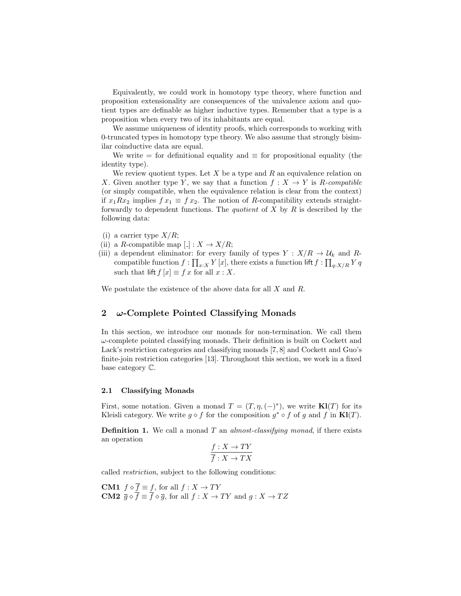Equivalently, we could work in homotopy type theory, where function and proposition extensionality are consequences of the univalence axiom and quotient types are definable as higher inductive types. Remember that a type is a proposition when every two of its inhabitants are equal.

We assume uniqueness of identity proofs, which corresponds to working with 0-truncated types in homotopy type theory. We also assume that strongly bisimilar coinductive data are equal.

We write = for definitional equality and  $\equiv$  for propositional equality (the identity type).

We review quotient types. Let  $X$  be a type and  $R$  an equivalence relation on X. Given another type Y, we say that a function  $f: X \to Y$  is R-compatible (or simply compatible, when the equivalence relation is clear from the context) if  $x_1Rx_2$  implies  $fx_1 \equiv fx_2$ . The notion of R-compatibility extends straightforwardly to dependent functions. The *quotient* of  $X$  by  $R$  is described by the following data:

- (i) a carrier type  $X/R$ ;
- (ii) a R-compatible map  $\lfloor . \rfloor : X \to X/R;$
- (iii) a dependent eliminator: for every family of types  $Y : X/R \to U_k$  and Rcompatible function  $f: \prod_{x:X} Y[x]$ , there exists a function lift  $f: \prod_{q:X/R} Y q$ such that lift  $f[x] \equiv f x$  for all  $x : X$ .

We postulate the existence of the above data for all  $X$  and  $R$ .

# 2  $\omega$ -Complete Pointed Classifying Monads

In this section, we introduce our monads for non-termination. We call them  $\omega$ -complete pointed classifying monads. Their definition is built on Cockett and Lack's restriction categories and classifying monads [7, 8] and Cockett and Guo's finite-join restriction categories [13]. Throughout this section, we work in a fixed base category C.

#### 2.1 Classifying Monads

First, some notation. Given a monad  $T = (T, \eta, (-)^*)$ , we write  $\mathbf{Kl}(T)$  for its Kleisli category. We write  $g \circ f$  for the composition  $g^* \circ f$  of g and f in  $\mathbf{Kl}(T)$ .

**Definition 1.** We call a monad  $T$  an *almost-classifying monad*, if there exists an operation

$$
\frac{f:X \to TY}{\overline{f}:X \to TX}
$$

called restriction, subject to the following conditions:

**CM1**  $f \diamond f \equiv f$ , for all  $f : X \to TY$ **CM2**  $\overline{g} \diamond \overline{f} \equiv \overline{f} \diamond \overline{g}$ , for all  $f : X \to TY$  and  $g : X \to TZ$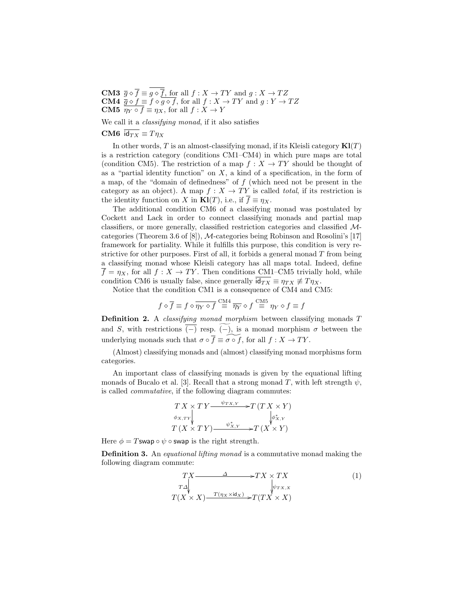**CM3**  $\overline{g} \diamond \overline{f} \equiv g \diamond \overline{f}$ , for all  $f : X \to TY$  and  $g : X \to TZ$ **CM4**  $\overline{g} \diamond f \equiv f \diamond g \diamond f$ , for all  $f : X \to TY$  and  $g : Y \to TZ$ **CM5**  $\overline{\eta_Y \circ f} \equiv \eta_X$ , for all  $f : X \to Y$ 

We call it a classifying monad, if it also satisfies

CM6  $\overline{\mathsf{id}_{TX}} \equiv T \eta_X$ 

In other words, T is an almost-classifying monad, if its Kleisli category  $\mathbf{Kl}(T)$ is a restriction category (conditions CM1–CM4) in which pure maps are total (condition CM5). The restriction of a map  $f : X \to TY$  should be thought of as a "partial identity function" on  $X$ , a kind of a specification, in the form of a map, of the "domain of definedness" of  $f$  (which need not be present in the category as an object). A map  $f : X \to TY$  is called total, if its restriction is the identity function on X in  $\mathbf{Kl}(T)$ , i.e., if  $\overline{f} \equiv \eta_X$ .

The additional condition CM6 of a classifying monad was postulated by Cockett and Lack in order to connect classifying monads and partial map classifiers, or more generally, classified restriction categories and classified Mcategories (Theorem 3.6 of [8]), M-categories being Robinson and Rosolini's [17] framework for partiality. While it fulfills this purpose, this condition is very restrictive for other purposes. First of all, it forbids a general monad  $T$  from being a classifying monad whose Kleisli category has all maps total. Indeed, define  $\overline{f} = \eta_X$ , for all  $f : X \to TY$ . Then conditions CM1–CM5 trivially hold, while condition CM6 is usually false, since generally  $\overline{\mathsf{id}_{TX}} \equiv \eta_{TX} \neq \eta_{X}$ .

Notice that the condition CM1 is a consequence of CM4 and CM5:

$$
f \diamond \overline{f} \equiv f \diamond \overline{\eta_Y \diamond f} \stackrel{\text{CM4}}{\equiv} \overline{\eta_Y} \diamond f \stackrel{\text{CM5}}{\equiv} \eta_Y \diamond f \equiv f
$$

Definition 2. A *classifying monad morphism* between classifying monads T and S, with restrictions  $\overline{(-)}$  resp.  $\widetilde{(-)}$ , is a monad morphism  $\sigma$  between the underlying monads such that  $\sigma \circ \overline{f} \equiv \widetilde{\sigma \circ f}$ , for all  $f : X \to TY$ .

(Almost) classifying monads and (almost) classifying monad morphisms form categories.

An important class of classifying monads is given by the equational lifting monads of Bucalo et al. [3]. Recall that a strong monad T, with left strength  $\psi$ , is called commutative, if the following diagram commutes:

$$
\begin{array}{c}\nTX \times T Y \xrightarrow{\psi_{TX,Y}} T(T X \times Y) \\
\phi_{X,TY} \\
T (X \times T Y) \xrightarrow{\psi_{X,Y}^*} T (X \times Y)\n\end{array}
$$

Here  $\phi = T$ swap  $\circ \psi \circ$  swap is the right strength.

**Definition 3.** An *equational lifting monad* is a commutative monad making the following diagram commute:

$$
TX \longrightarrow TX \times TX
$$
  
\n
$$
T\Delta
$$
  
\n
$$
T(X \times X) \longrightarrow T(\eta_X \times id_X) \longrightarrow T(TX \times X)
$$
  
\n(1)  
\n
$$
T(X \times X) \longrightarrow T(\eta_X \times id_X)
$$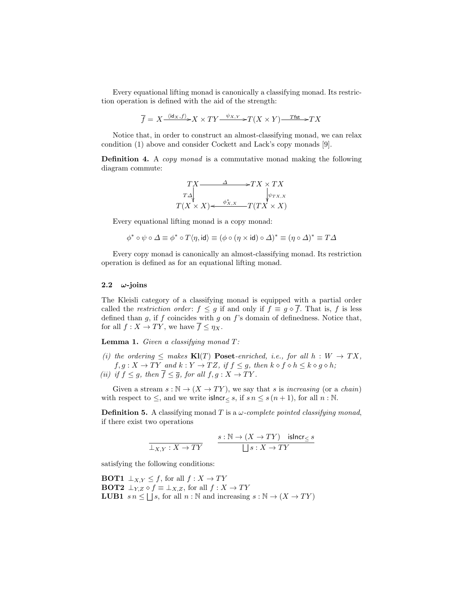Every equational lifting monad is canonically a classifying monad. Its restriction operation is defined with the aid of the strength:

$$
\overline{f} = X \xrightarrow{\langle id_X, f \rangle} X \times TY \xrightarrow{\psi_{X,Y}} T(X \times Y) \xrightarrow{T \text{fst}} TX
$$

Notice that, in order to construct an almost-classifying monad, we can relax condition (1) above and consider Cockett and Lack's copy monads [9].

Definition 4. A copy monad is a commutative monad making the following diagram commute:

$$
TX \xrightarrow{TX} \xrightarrow{TZ} TX \times TX
$$
  
\n
$$
T\Delta
$$
  
\n
$$
T(X \times X) \xleftarrow{\phi_{X,X}^*} T(TX \times X)
$$

Every equational lifting monad is a copy monad:

$$
\phi^*\circ\psi\circ\varDelta\equiv\phi^*\circ T\langle\eta,\mathsf{id}\rangle\equiv(\phi\circ(\eta\times\mathsf{id})\circ\varDelta)^*\equiv(\eta\circ\varDelta)^*\equiv T\varDelta
$$

Every copy monad is canonically an almost-classifying monad. Its restriction operation is defined as for an equational lifting monad.

#### 2.2  $\omega$ -joins

The Kleisli category of a classifying monad is equipped with a partial order called the restriction order:  $f \leq g$  if and only if  $f \equiv g \circ \overline{f}$ . That is, f is less defined than  $g$ , if  $f$  coincides with  $g$  on  $f$ 's domain of definedness. Notice that, for all  $f : X \to TY$ , we have  $\overline{f} \leq \eta_X$ .

**Lemma 1.** Given a classifying monad  $T$ :

(i) the ordering  $\leq$  makes  $\mathbf{Kl}(T)$  **Poset**-enriched, i.e., for all  $h : W \to TX$ ,  $f,g:X\to TY$  and  $k:Y\to TZ,$  if  $f\leq g,$  then  $k\diamond f\diamond h\leq k\diamond g\diamond h;$ (ii) if  $f \leq g$ , then  $\overline{f} \leq \overline{g}$ , for all  $f, g: X \to TY$ .

Given a stream  $s : \mathbb{N} \to (X \to TY)$ , we say that s is increasing (or a chain) with respect to  $\leq$ , and we write islncr $\lt s$ , if  $s n \leq s (n + 1)$ , for all  $n : \mathbb{N}$ .

**Definition 5.** A classifying monad T is a  $\omega$ -complete pointed classifying monad, if there exist two operations

$$
\cfrac{s:\mathbb{N}\to (X\to TY)\quad \text{isIncr}_\le s}{\bigsqcup s:X\to TY}
$$

satisfying the following conditions:

**BOT1**  $\perp_{X,Y} \leq f$ , for all  $f: X \to TY$ **BOT2**  $\perp_{Y,Z} \diamond f \equiv \perp_{X,Z}$ , for all  $f : X \to TY$ **LUB1**  $s n \leq \bigsqcup s$ , for all  $n : \mathbb{N}$  and increasing  $s : \mathbb{N} \to (X \to TY)$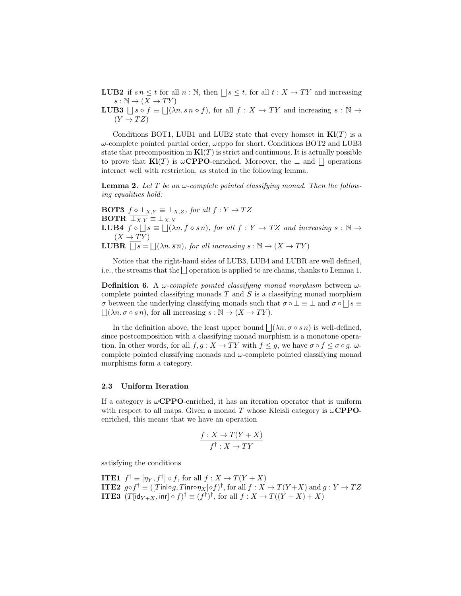**LUB2** if  $s n \leq t$  for all  $n : \mathbb{N}$ , then  $\lfloor s \leq t$ , for all  $t : X \to TY$  and increasing  $s : \mathbb{N} \to (X \to TY)$ 

**LUB3**  $\Box s \circ f \equiv \Box (\lambda n \cdot s \cdot n \cdot s f)$ , for all  $f : X \rightarrow TY$  and increasing  $s : \mathbb{N} \rightarrow$  $(Y \rightarrow TZ)$ 

Conditions BOT1, LUB1 and LUB2 state that every homset in  $\mathbf{Kl}(T)$  is a  $\omega$ -complete pointed partial order,  $\omega$ cppo for short. Conditions BOT2 and LUB3 state that precomposition in  $\mathbf{K}l(T)$  is strict and continuous. It is actually possible to prove that  $\mathbf{Kl}(T)$  is  $\omega$ **CPPO**-enriched. Moreover, the  $\perp$  and  $\perp$  operations interact well with restriction, as stated in the following lemma.

**Lemma 2.** Let T be an  $\omega$ -complete pointed classifying monad. Then the following equalities hold:

**BOT3**  $f \diamond \bot_{X,Y} \equiv \bot_{X,Z}$ , for all  $f: Y \rightarrow TZ$ **BOTR**  $\overline{\perp_{X,Y}} \equiv \perp_{X,X}$ **LUB4**  $f \circ \iint s \equiv \iint ( \lambda n. f \circ s n ),$  for all  $f : Y \to TZ$  and increasing  $s : \mathbb{N} \to$  $(X \to TY)$ **LUBR**  $\overline{\bigcup s} = \bigcup (\lambda n.\overline{s n})$ , for all increasing  $s : \mathbb{N} \to (X \to T Y)$ 

Notice that the right-hand sides of LUB3, LUB4 and LUBR are well defined, i.e., the streams that the  $\Box$  operation is applied to are chains, thanks to Lemma 1.

**Definition 6.** A  $\omega$ -complete pointed classifying monad morphism between  $\omega$ complete pointed classifying monads  $T$  and  $S$  is a classifying monad morphism  $\sigma$  between the underlying classifying monads such that  $\sigma \circ \bot \equiv \bot$  and  $\sigma \circ \bot$  s  $\Box(\lambda n.\sigma \circ s n)$ , for all increasing  $s : \mathbb{N} \to (X \to TY)$ .

In the definition above, the least upper bound  $\lfloor (\lambda n.\sigma \circ s n) \rfloor$  is well-defined, since postcomposition with a classifying monad morphism is a monotone operation. In other words, for all  $f, g: X \to TY$  with  $f \leq g$ , we have  $\sigma \circ f \leq \sigma \circ g$ . complete pointed classifying monads and  $\omega$ -complete pointed classifying monad morphisms form a category.

#### 2.3 Uniform Iteration

If a category is  $\omega$ CPPO-enriched, it has an iteration operator that is uniform with respect to all maps. Given a monad T whose Kleisli category is  $\omega$ **CPPO**enriched, this means that we have an operation

$$
\frac{f: X \to T(Y + X)}{f^{\dagger}: X \to TY}
$$

satisfying the conditions

ITE1 f † ≡ [η<sup>Y</sup> , f † ] f, for all f : X → T(Y + X) ITE2 gf † ≡ ([Tinl◦g, Tinr◦ηX]f) † , for all f : X → T(Y +X) and g : Y → T Z ITE3 (T[id<sup>Y</sup> <sup>+</sup>X, inr] ◦ f) † ≡ (f † ) † , for all f : X → T((Y + X) + X)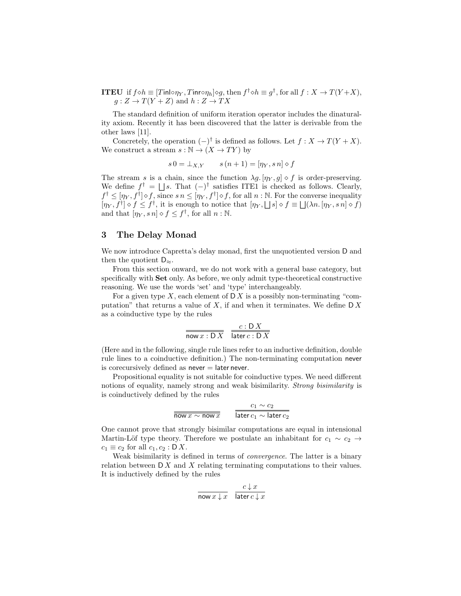**ITEU** if  $f \diamond h \equiv [T \mathsf{inl} \circ \eta_Y, T \mathsf{inr} \circ \eta_h] \diamond g$ , then  $f^{\dagger} \diamond h \equiv g^{\dagger}$ , for all  $f : X \to T(Y+X)$ ,  $g: Z \to T(Y + Z)$  and  $h: Z \to TX$ 

The standard definition of uniform iteration operator includes the dinaturality axiom. Recently it has been discovered that the latter is derivable from the other laws [11].

Concretely, the operation  $(-)^{\dagger}$  is defined as follows. Let  $f: X \to T(Y+X)$ . We construct a stream  $s : \mathbb{N} \to (X \to TY)$  by

$$
s\,0 = \perp_{X,Y} \qquad s\,(n+1) = [\eta_Y, s\,n] \diamond f
$$

The stream s is a chain, since the function  $\lambda g$ . [ $\eta_Y, g$ ]  $\circ$  f is order-preserving. We define  $f^{\dagger} = \bigsqcup s$ . That  $(-)^{\dagger}$  satisfies ITE1 is checked as follows. Clearly,  $f^{\dagger} \leq [\eta_Y, f^{\dagger}] \diamond f$ , since  $s n \leq [\eta_Y, f^{\dagger}] \diamond f$ , for all  $n : \mathbb{N}$ . For the converse inequality  $[\eta_Y, f^{\dagger}] \diamond f \leq f^{\dagger}$ , it is enough to notice that  $[\eta_Y, \Box s] \diamond f \equiv \Box(\lambda n. [\eta_Y, s n] \diamond f)$ and that  $[\eta_Y, s\, n] \diamond f \leq f^{\dagger}$ , for all  $n : \mathbb{N}$ .

## 3 The Delay Monad

We now introduce Capretta's delay monad, first the unquotiented version D and then the quotient  $D_{\approx}$ .

From this section onward, we do not work with a general base category, but specifically with Set only. As before, we only admit type-theoretical constructive reasoning. We use the words 'set' and 'type' interchangeably.

For a given type X, each element of  $\mathsf{D} X$  is a possibly non-terminating "computation" that returns a value of  $X$ , if and when it terminates. We define  $\mathsf{D} X$ as a coinductive type by the rules

$$
\frac{c:DX}{\text{now }x:DX} \quad \frac{c:DX}{\text{later }c:DX}
$$

(Here and in the following, single rule lines refer to an inductive definition, double rule lines to a coinductive definition.) The non-terminating computation never is corecursively defined as  $never = later never$ .

Propositional equality is not suitable for coinductive types. We need different notions of equality, namely strong and weak bisimilarity. Strong bisimilarity is is coinductively defined by the rules

$$
\frac{c_1 \sim c_2}{\overline{\text{now } x \sim \text{now } x}} \qquad \frac{c_1 \sim c_2}{\overline{\text{later } c_1 \sim \text{later } c_2}}
$$

One cannot prove that strongly bisimilar computations are equal in intensional Martin-Löf type theory. Therefore we postulate an inhabitant for  $c_1 \sim c_2 \rightarrow$  $c_1 \equiv c_2$  for all  $c_1, c_2 : \mathsf{D} X$ .

Weak bisimilarity is defined in terms of *convergence*. The latter is a binary relation between  $\mathsf{D} X$  and X relating terminating computations to their values. It is inductively defined by the rules

$$
\frac{c \downarrow x}{\text{now } x \downarrow x} \quad \frac{c \downarrow x}{\text{later } c \downarrow x}
$$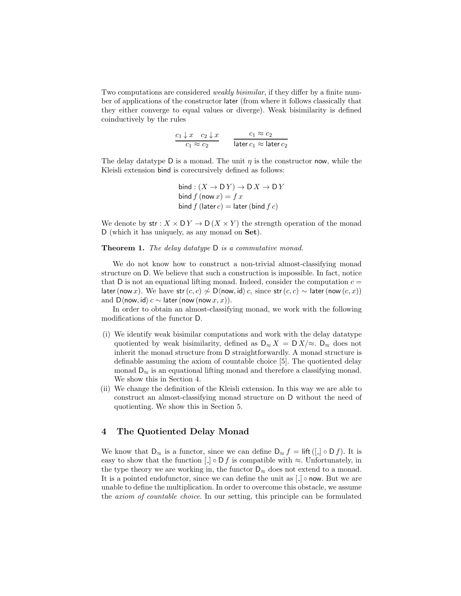Two computations are considered weakly bisimilar, if they differ by a finite number of applications of the constructor later (from where it follows classically that they either converge to equal values or diverge). Weak bisimilarity is defined coinductively by the rules

$$
\frac{c_1 \downarrow x \quad c_2 \downarrow x}{c_1 \approx c_2} \qquad \frac{c_1 \approx c_2}{\text{later } c_1 \approx \text{later } c_2}
$$

The delay datatype D is a monad. The unit  $\eta$  is the constructor now, while the Kleisli extension bind is corecursively defined as follows:

$$
bind: (X \to DY) \to D X \to D Y
$$
  
bind  $f$  (now  $x) = f x$   
bind  $f$  (later  $c$ ) = later (bind  $f c$ )

We denote by  $\mathsf{str} : X \times \mathsf{D} Y \to \mathsf{D} (X \times Y)$  the strength operation of the monad D (which it has uniquely, as any monad on Set).

Theorem 1. The delay datatype D is a commutative monad.

We do not know how to construct a non-trivial almost-classifying monad structure on D. We believe that such a construction is impossible. In fact, notice that D is not an equational lifting monad. Indeed, consider the computation  $c =$ later (now x). We have str  $(c, c) \nsim \mathsf{D}\langle \mathsf{now}, \mathsf{id} \rangle c$ , since str $(c, c) \sim \mathsf{later}(\mathsf{now}\,(c, x))$ and D $\langle$ now, id $\rangle c \sim$  later (now (now  $x, x$ )).

In order to obtain an almost-classifying monad, we work with the following modifications of the functor D.

- (i) We identify weak bisimilar computations and work with the delay datatype quotiented by weak bisimilarity, defined as  $D_{\approx} X = D X / \approx D_{\approx}$  does not inherit the monad structure from D straightforwardly. A monad structure is definable assuming the axiom of countable choice [5]. The quotiented delay monad  $D_{\approx}$  is an equational lifting monad and therefore a classifying monad. We show this in Section 4.
- (ii) We change the definition of the Kleisli extension. In this way we are able to construct an almost-classifying monad structure on D without the need of quotienting. We show this in Section 5.

# 4 The Quotiented Delay Monad

We know that  $D_{\approx}$  is a functor, since we can define  $D_{\approx} f = \text{lift}([C] \circ Df)$ . It is easy to show that the function  $\Box \circ \mathsf{D} f$  is compatible with  $\approx$ . Unfortunately, in the type theory we are working in, the functor  $D_{\infty}$  does not extend to a monad. It is a pointed endofunctor, since we can define the unit as  $\lfloor \cdot \rfloor$   $\circ$  now. But we are unable to define the multiplication. In order to overcome this obstacle, we assume the axiom of countable choice. In our setting, this principle can be formulated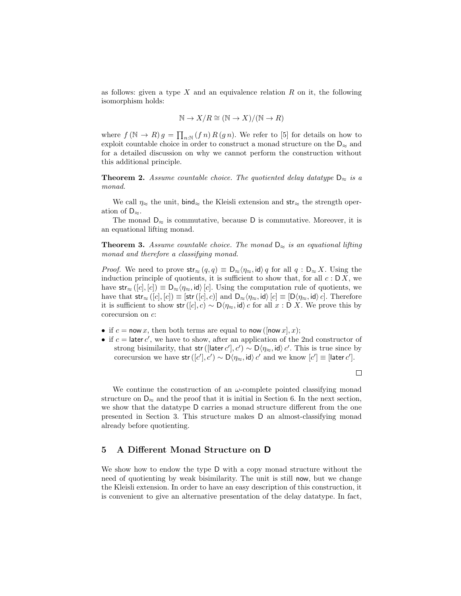as follows: given a type X and an equivalence relation R on it, the following isomorphism holds:

$$
N \to X/R \cong (N \to X)/ (N \to R)
$$

where  $f(\mathbb{N} \to R) g = \prod_{n:\mathbb{N}} (fn) R(gn)$ . We refer to [5] for details on how to exploit countable choice in order to construct a monad structure on the  $D_{\infty}$  and for a detailed discussion on why we cannot perform the construction without this additional principle.

**Theorem 2.** Assume countable choice. The quotiented delay datatype  $D_{\approx}$  is a monad.

We call  $\eta_{\approx}$  the unit, bind<sub>≈</sub> the Kleisli extension and str<sub>≈</sub> the strength operation of  $D_{\infty}$ .

The monad  $D_{\approx}$  is commutative, because D is commutative. Moreover, it is an equational lifting monad.

**Theorem 3.** Assume countable choice. The monad  $D_{\approx}$  is an equational lifting monad and therefore a classifying monad.

*Proof.* We need to prove  $str_{\approx}(q, q) \equiv D_{\approx}(q, \eta)$  for all  $q : D_{\approx} X$ . Using the induction principle of quotients, it is sufficient to show that, for all  $c : D X$ , we have str<sub>≈</sub> ([c], [c])  $\equiv \mathsf{D}_{\approx}\langle\eta_{\approx}$ , id) [c]. Using the computation rule of quotients, we have that  $str_{\approx}([c], [c]) \equiv [str([c], c)]$  and  $D_{\approx}(\eta_{\approx}, id)$   $[c] \equiv [D(\eta_{\approx}, id) c]$ . Therefore it is sufficient to show str([c], c) ~  $D\langle \eta_{\approx}$ , id) c for all  $x : D X$ . We prove this by corecursion on c:

- if  $c = \text{now } x$ , then both terms are equal to now ([now x], x);
- if  $c = \text{later } c'$ , we have to show, after an application of the 2nd constructor of strong bisimilarity, that str ([later  $c'$ ],  $c'$ ) ~ D $\langle \eta_{\approx}$ , id $\rangle$   $c'$ . This is true since by corecursion we have str $([c'], c') \sim D\langle \eta_{\approx}, id \rangle c'$  and we know  $[c'] \equiv [later c'].$

 $\Box$ 

We continue the construction of an  $\omega$ -complete pointed classifying monad structure on  $D_{\approx}$  and the proof that it is initial in Section 6. In the next section, we show that the datatype D carries a monad structure different from the one presented in Section 3. This structure makes D an almost-classifying monad already before quotienting.

### 5 A Different Monad Structure on D

We show how to endow the type D with a copy monad structure without the need of quotienting by weak bisimilarity. The unit is still now, but we change the Kleisli extension. In order to have an easy description of this construction, it is convenient to give an alternative presentation of the delay datatype. In fact,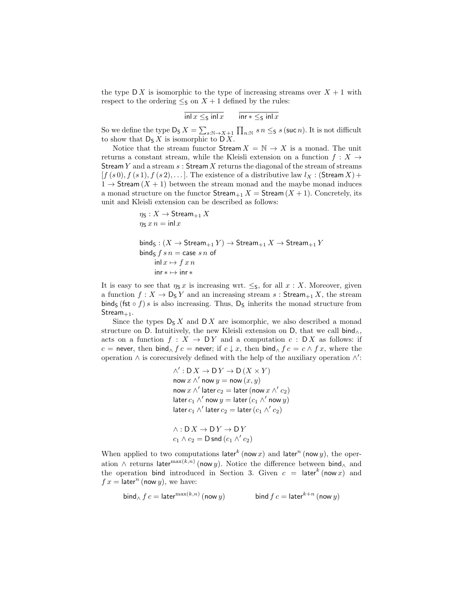the type  $\mathsf{D} X$  is isomorphic to the type of increasing streams over  $X + 1$  with respect to the ordering  $\leq_S$  on  $X + 1$  defined by the rules:

$$
\ln|x \leq_{\mathsf{S}} \ln|x \quad \text{inr} * \leq_{\mathsf{S}} \ln|x
$$

So we define the type  $\mathsf{D}_\mathsf{S} X = \sum_{s:\mathbb{N}\to X+1} \prod_{n:\mathbb{N}} s\, n \leq_\mathsf{S} s$  (suc n). It is not difficult to show that  $D_S X$  is isomorphic to  $D X$ .

Notice that the stream functor Stream  $X = N \rightarrow X$  is a monad. The unit returns a constant stream, while the Kleisli extension on a function  $f: X \rightarrow$ Stream Y and a stream  $s:$  Stream X returns the diagonal of the stream of streams  $[f(s\,0), f(s\,1), f(s\,2), \ldots]$ . The existence of a distributive law  $l_X :$  (Stream X) +  $1 \rightarrow$  Stream  $(X + 1)$  between the stream monad and the maybe monad induces a monad structure on the functor  $\text{Stream}_{+1} X = \text{Stream}(X + 1)$ . Concretely, its unit and Kleisli extension can be described as follows:

$$
\eta_S: X \to \text{Stream}_{+1} X
$$
  
\n
$$
\eta_S x n = \text{inl } x
$$
  
\nbind<sub>S</sub>:  $(X \to \text{Stream}_{+1} Y) \to \text{Stream}_{+1} X \to \text{Stream}_{+1} Y$   
\nbind<sub>S</sub>  $f s n = \text{case } s n$  of  
\n $\text{inl } x \mapsto f x n$   
\n $\text{inr } * \mapsto \text{inr } *$ 

It is easy to see that  $\eta_s x$  is increasing wrt.  $\leq_S$ , for all  $x : X$ . Moreover, given a function  $f: X \to \mathsf{D}_S Y$  and an increasing stream s: Stream<sub>+1</sub> X, the stream bind<sub>S</sub> (fst  $\circ$  f) s is also increasing. Thus,  $D_5$  inherits the monad structure from Stream $_{+1}$ .

Since the types  $D_5 X$  and  $D X$  are isomorphic, we also described a monad structure on D. Intuitively, the new Kleisli extension on D, that we call  $\text{bind}_{\wedge}$ , acts on a function  $f : X \to DY$  and a computation  $c : DX$  as follows: if c = never, then bind<sub>∧</sub> f c = never; if c  $\downarrow x$ , then bind<sub>∧</sub> f c = c  $\land$  f x, where the operation  $\wedge$  is corecursively defined with the help of the auxiliary operation  $\wedge'$ :

> $\wedge' : \mathsf{D} X \to \mathsf{D} Y \to \mathsf{D} (X \times Y)$ now  $x \wedge'$  now  $y = \text{now } (x, y)$ now  $x \wedge'$  later  $c_2 =$  later (now  $x \wedge' c_2$ ) later  $c_1 \wedge'$  now  $y =$  later  $(c_1 \wedge'$  now  $y)$ later  $c_1 \wedge'$  later  $c_2 =$  later  $(c_1 \wedge' c_2)$

$$
\wedge : \mathsf{D} X \to \mathsf{D} Y \to \mathsf{D} Y
$$
  

$$
c_1 \wedge c_2 = \mathsf{D} \mathsf{snd} \, (c_1 \wedge' c_2)
$$

When applied to two computations later<sup>k</sup> (now x) and later<sup>n</sup> (now y), the operation  $\wedge$  returns later<sup>max(k,n)</sup> (now y). Notice the difference between bind<sub> $\wedge$ </sub> and the operation bind introduced in Section 3. Given  $c = \text{later}^k(\text{now } x)$  and  $f x = \text{later}^n \text{ (now } y), \text{ we have:}$ 

$$
\text{bind}_{\land} \, f \, c = \text{later}^{\max(k,n)} \, (\text{now } y) \qquad \qquad \text{bind } f \, c = \text{later}^{k+n} \, (\text{now } y)
$$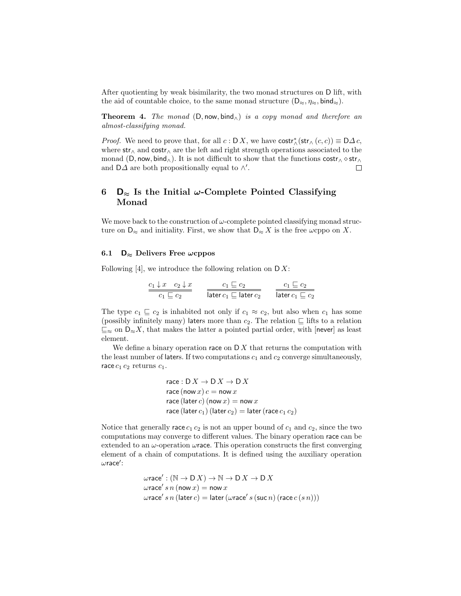After quotienting by weak bisimilarity, the two monad structures on D lift, with the aid of countable choice, to the same monad structure  $(D_{\approx}, \eta_{\approx}, \text{bind}_{\approx}).$ 

**Theorem 4.** The monad  $(D, now, bind<sub>∧</sub>)$  is a copy monad and therefore an almost-classifying monad.

*Proof.* We need to prove that, for all  $c : D X$ , we have  $\text{costr}_{\land}^*(\text{str}_{\land}(c, c)) \equiv D \Delta c$ , where  $str_{\Lambda}$  and  $costr_{\Lambda}$  are the left and right strength operations associated to the monad (D, now, bind∧). It is not difficult to show that the functions  $costr \wedge str \wedge$ and  $D\Delta$  are both propositionally equal to  $\wedge'$ . П

# 6  $\mathsf{D}_{\approx}$  Is the Initial  $\omega$ -Complete Pointed Classifying Monad

We move back to the construction of  $\omega$ -complete pointed classifying monad structure on  $D_{\approx}$  and initiality. First, we show that  $D_{\approx} X$  is the free  $\omega$ cppo on X.

#### 6.1  $\mathsf{D}_{\approx}$  Delivers Free  $\omega$ cppos

Following  $[4]$ , we introduce the following relation on  $D X$ :

$$
\frac{c_1 \downarrow x \quad c_2 \downarrow x}{c_1 \sqsubseteq c_2} \qquad \frac{c_1 \sqsubseteq c_2}{\text{later } c_1 \sqsubseteq \text{later } c_2} \qquad \frac{c_1 \sqsubseteq c_2}{\text{later } c_1 \sqsubseteq c_2}
$$

The type  $c_1 \subseteq c_2$  is inhabited not only if  $c_1 \approx c_2$ , but also when  $c_1$  has some (possibly infinitely many) laters more than  $c_2$ . The relation  $\subseteq$  lifts to a relation  $\sqsubseteq_{\approx}$  on  $D_{\approx}X$ , that makes the latter a pointed partial order, with [never] as least element.

We define a binary operation race on  $\mathsf{D} X$  that returns the computation with the least number of laters. If two computations  $c_1$  and  $c_2$  converge simultaneously, race  $c_1$   $c_2$  returns  $c_1$ .

$$
\begin{aligned}\n\text{race}: \mathsf{D} \, X &\rightarrow \mathsf{D} \, X \rightarrow \mathsf{D} \, X \\
\text{race} \, (\text{now } x) \, c &= \text{now } x \\
\text{race} \, (\text{later } c) \, (\text{now } x) &= \text{now } x \\
\text{race} \, (\text{later } c_1) \, (\text{later } c_2) &= \text{later } (\text{race } c_1 \, c_2)\n\end{aligned}
$$

Notice that generally race  $c_1 c_2$  is not an upper bound of  $c_1$  and  $c_2$ , since the two computations may converge to different values. The binary operation race can be extended to an  $\omega$ -operation  $\omega$ **race**. This operation constructs the first converging element of a chain of computations. It is defined using the auxiliary operation  $\omega$ race':

$$
\begin{aligned}\n\text{wrace}' : (\mathbb{N} \to \mathbb{D} X) &\to \mathbb{N} \to \mathbb{D} X \\
\text{wrace}' \, s \, n \, (\text{now } x) &= \text{now } x \\
\text{wrace}' \, s \, n \, (\text{later } c) &= \text{later } (\text{wrace}' \, s \, (\text{succ } n) \, (\text{race } c \, (s \, n)))\n\end{aligned}
$$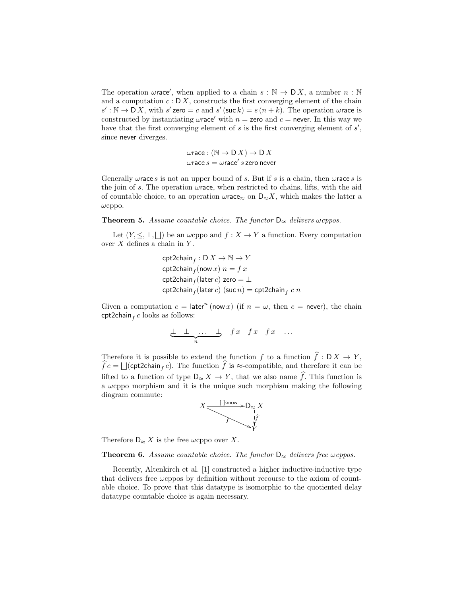The operation  $\omega$ race', when applied to a chain  $s : \mathbb{N} \to \mathsf{D} X$ , a number  $n : \mathbb{N}$ and a computation  $c: D X$ , constructs the first converging element of the chain  $s': \mathbb{N} \to \mathbb{D}X$ , with  $s'$  zero = c and  $s'$  (suc  $k$ ) =  $s(n+k)$ . The operation wrace is constructed by instantiating  $\omega$ race' with  $n =$  zero and  $c =$  never. In this way we have that the first converging element of  $s$  is the first converging element of  $s'$ , since never diverges.

$$
\omega \text{race}: (\mathbb{N} \to \text{D} X) \to \text{D} X
$$

$$
\omega \text{race} s = \omega \text{race}' s \text{ zero never}
$$

Generally  $\omega$  race s is not an upper bound of s. But if s is a chain, then  $\omega$  race s is the join of s. The operation  $\omega$  race, when restricted to chains, lifts, with the aid of countable choice, to an operation  $\omega$ race<sub>≈</sub> on  $D_{\approx} X$ , which makes the latter a  $\omega$ cppo.

#### **Theorem 5.** Assume countable choice. The functor  $D_{\approx}$  delivers  $\omega$  cppos.

Let  $(Y, \leq, \perp, \perp)$  be an  $\omega$ cppo and  $f: X \to Y$  a function. Every computation over  $X$  defines a chain in  $Y$ .

$$
\begin{aligned} &\mathsf{cpt2chain}_f:\mathsf{D}\,X\to\mathbb{N}\to Y\\ &\mathsf{cpt2chain}_f(\mathsf{now}\,x)\;n=f\,x\\ &\mathsf{cpt2chain}_f(\mathsf{later}\,c)\;\mathsf{zero}=\bot\\ &\mathsf{cpt2chain}_f(\mathsf{later}\,c)\;(\mathsf{such}\,n)=\mathsf{cpt2chain}_f\;c\;n \end{aligned}
$$

Given a computation  $c = \text{later}^n \text{ (now } x)$  (if  $n = \omega$ , then  $c = \text{never}$ ), the chain  $\mathsf{cpt2chain}_f\,c$  looks as follows:

$$
\underbrace{\perp \perp \ldots \perp}_{n} \quad f \quad f \quad f \quad x \quad f \quad \ldots
$$

Therefore it is possible to extend the function f to a function  $\hat{f}: DX \to Y$ ,  $f c = \bigsqcup$ (cpt2chain<sub>f</sub> c). The function f is ≈-compatible, and therefore it can be lifted to a function of type  $D_{\approx} X \to Y$ , that we also name  $\hat{f}$ . This function is a  $\omega$ cppo morphism and it is the unique such morphism making the following diagram commute:



Therefore  $D_{\approx} X$  is the free  $\omega$ cppo over X.

# **Theorem 6.** Assume countable choice. The functor  $D_{\approx}$  delivers free  $\omega$  cppos.

Recently, Altenkirch et al. [1] constructed a higher inductive-inductive type that delivers free  $\omega$ cppos by definition without recourse to the axiom of countable choice. To prove that this datatype is isomorphic to the quotiented delay datatype countable choice is again necessary.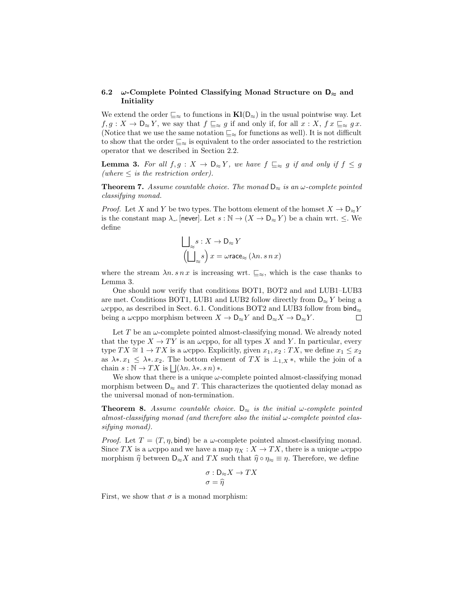#### 6.2  $\omega$ -Complete Pointed Classifying Monad Structure on  $D_{\approx}$  and Initiality

We extend the order  $\sqsubseteq_{\approx}$  to functions in  $\mathbf{Kl}(D_{\approx})$  in the usual pointwise way. Let  $f, g: X \to \mathsf{D}_{\approx} Y$ , we say that  $f \sqsubseteq_{\approx} g$  if and only if, for all  $x: X, f x \sqsubseteq_{\approx} g x$ . (Notice that we use the same notation  $\Xi_{\approx}$  for functions as well). It is not difficult to show that the order  $\Xi_{\approx}$  is equivalent to the order associated to the restriction operator that we described in Section 2.2.

**Lemma 3.** For all  $f, g: X \to D_{\approx} Y$ , we have  $f \subseteq_{\approx} g$  if and only if  $f \leq g$ (where  $\leq$  is the restriction order).

**Theorem 7.** Assume countable choice. The monad  $D_{\approx}$  is an  $\omega$ -complete pointed classifying monad.

*Proof.* Let X and Y be two types. The bottom element of the homset  $X \to \mathsf{D}_{\approx} Y$ is the constant map  $\lambda$ . [never]. Let  $s : \mathbb{N} \to (X \to \mathsf{D}_{\approx} Y)$  be a chain wrt.  $\leq$ . We define

$$
\bigcup_{\substack{s\\ \sim}} s: X \to \mathsf{D}_{\approx} Y
$$

$$
\left(\bigcup_{\substack{s\\ \sim}} s\right) x = \omega \text{race}_{\approx} (\lambda n. s n x)
$$

where the stream  $\lambda n \cdot s n x$  is increasing wrt.  $\sqsubseteq_{\approx}$ , which is the case thanks to Lemma 3.

One should now verify that conditions BOT1, BOT2 and and LUB1–LUB3 are met. Conditions BOT1, LUB1 and LUB2 follow directly from  $D_{\approx} Y$  being a  $\omega$ cppo, as described in Sect. 6.1. Conditions BOT2 and LUB3 follow from bind $\approx$ being a  $\omega$ cppo morphism between  $X \to \mathsf{D}_{\approx} Y$  and  $\mathsf{D}_{\approx} X \to \mathsf{D}_{\approx} Y$ .  $\Box$ 

Let T be an  $\omega$ -complete pointed almost-classifying monad. We already noted that the type  $X \to TY$  is an  $\omega$ cppo, for all types X and Y. In particular, every type  $TX \cong 1 \to TX$  is a  $\omega$ cppo. Explicitly, given  $x_1, x_2 : TX$ , we define  $x_1 \leq x_2$ as  $\lambda^*$ .  $x_1 \leq \lambda^*$ . The bottom element of TX is  $\perp_{1,X}$ , while the join of a chain  $s : \mathbb{N} \to TX$  is  $\bigcup (\lambda n. \lambda * . s n) *$ .

We show that there is a unique  $\omega$ -complete pointed almost-classifying monad morphism between  $\mathsf{D}_{\approx}$  and T. This characterizes the quotiented delay monad as the universal monad of non-termination.

**Theorem 8.** Assume countable choice.  $D_{\approx}$  is the initial  $\omega$ -complete pointed almost-classifying monad (and therefore also the initial  $\omega$ -complete pointed classifying monad).

*Proof.* Let  $T = (T, \eta, \text{bind})$  be a  $\omega$ -complete pointed almost-classifying monad. Since TX is a  $\omega$ cppo and we have a map  $\eta_X : X \to TX$ , there is a unique  $\omega$ cppo morphism  $\hat{\eta}$  between  $D_{\approx}X$  and TX such that  $\hat{\eta} \circ \eta_{\approx} \equiv \eta$ . Therefore, we define

$$
\sigma : D_{\approx} X \to TX
$$

$$
\sigma = \widehat{\eta}
$$

First, we show that  $\sigma$  is a monad morphism: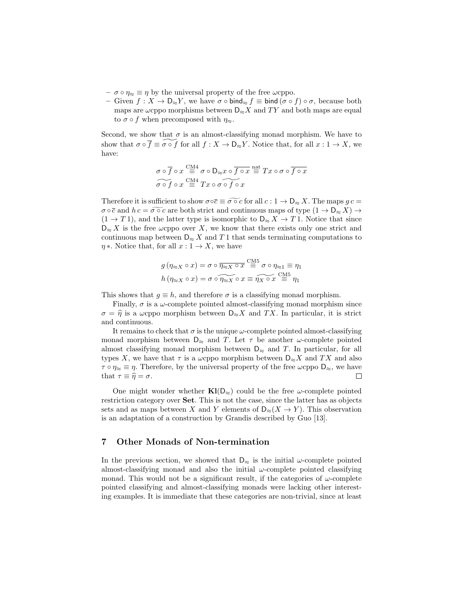- $-\sigma \circ \eta_{\approx} \equiv \eta$  by the universal property of the free  $\omega$ cppo.
- Given  $f: X \to \mathsf{D}_{\approx} Y$ , we have  $\sigma \circ \mathsf{bind}_{\approx} f \equiv \mathsf{bind} (\sigma \circ f) \circ \sigma$ , because both maps are  $\omega$ cppo morphisms between  $D_{\approx} X$  and TY and both maps are equal to  $\sigma \circ f$  when precomposed with  $\eta_{\approx}$ .

Second, we show that  $\sigma$  is an almost-classifying monad morphism. We have to show that  $\sigma \circ \overline{f} \equiv \sigma \circ f$  for all  $f : X \to \mathsf{D}_{\approx} Y$ . Notice that, for all  $x : 1 \to X$ , we have:

$$
\begin{array}{c}\n\sigma \circ \overline{f} \circ x \stackrel{\text{CM4}}{\equiv} \sigma \circ \mathsf{D}_{\approx} x \circ \overline{f \circ x} \stackrel{\text{nat}}{\equiv} Tx \circ \sigma \circ \overline{f \circ x} \\
\widetilde{\sigma \circ f} \circ x \stackrel{\text{CM4}}{\equiv} Tx \circ \sigma \circ \widetilde{f \circ x}\n\end{array}
$$

Therefore it is sufficient to show  $\sigma \circ \overline{c} \equiv \sigma \circ c$  for all  $c : 1 \to D_{\approx} X$ . The maps  $g c =$  $\sigma \circ \overline{c}$  and  $h c = \widetilde{\sigma \circ c}$  are both strict and continuous maps of type  $(1 \to D_{\approx} X) \to$  $(1 \rightarrow T 1)$ , and the latter type is isomorphic to  $D_{\approx} X \rightarrow T 1$ . Notice that since  $D_{\approx} X$  is the free  $\omega$ cppo over X, we know that there exists only one strict and continuous map between  $D_{\infty} X$  and T 1 that sends terminating computations to  $\eta *$  . Notice that, for all  $x: 1 \to X,$  we have

$$
g(\eta_{\approx X} \circ x) = \sigma \circ \overline{\eta_{\approx X} \circ x} \stackrel{\text{CM5}}{=} \sigma \circ \eta_{\approx 1} \equiv \eta_1
$$
  

$$
h(\eta_{\approx X} \circ x) = \sigma \circ \overline{\eta_{\approx X} \circ x} \equiv \overline{\eta_X \circ x} \stackrel{\text{CM5}}{=} \eta_1
$$

This shows that  $q \equiv h$ , and therefore  $\sigma$  is a classifying monad morphism.

Finally,  $\sigma$  is a  $\omega$ -complete pointed almost-classifying monad morphism since  $\sigma = \hat{\eta}$  is a  $\omega$ cppo morphism between D≈X and TX. In particular, it is strict and continuous.

It remains to check that  $\sigma$  is the unique  $\omega$ -complete pointed almost-classifying monad morphism between  $D_{\infty}$  and T. Let  $\tau$  be another  $\omega$ -complete pointed almost classifying monad morphism between  $D_{\approx}$  and T. In particular, for all types X, we have that  $\tau$  is a  $\omega$ cppo morphism between  $D_{\approx} X$  and  $TX$  and also  $\tau \circ \eta_{\approx} \equiv \eta$ . Therefore, by the universal property of the free  $\omega$ cppo  $D_{\approx}$ , we have that  $\tau \equiv \hat{\eta} = \sigma$ .  $\Box$ 

One might wonder whether  $\mathbf{K}l(\mathsf{D}_{\approx})$  could be the free  $\omega$ -complete pointed restriction category over Set. This is not the case, since the latter has as objects sets and as maps between X and Y elements of  $D_{\approx}(X \to Y)$ . This observation is an adaptation of a construction by Grandis described by Guo [13].

## 7 Other Monads of Non-termination

In the previous section, we showed that  $D_{\approx}$  is the initial  $\omega$ -complete pointed almost-classifying monad and also the initial  $\omega$ -complete pointed classifying monad. This would not be a significant result, if the categories of  $\omega$ -complete pointed classifying and almost-classifying monads were lacking other interesting examples. It is immediate that these categories are non-trivial, since at least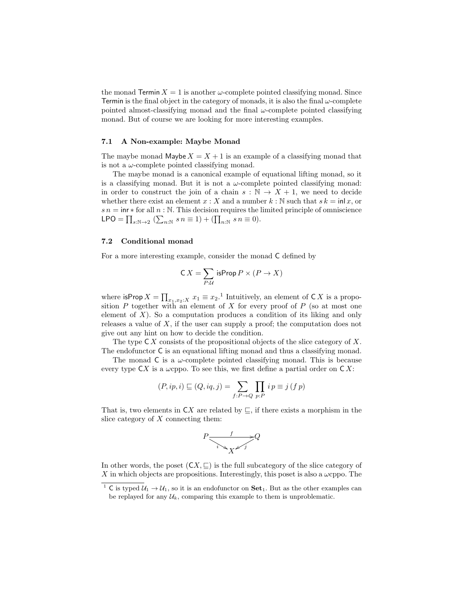the monad Termin  $X = 1$  is another  $\omega$ -complete pointed classifying monad. Since Termin is the final object in the category of monads, it is also the final  $\omega$ -complete pointed almost-classifying monad and the final  $\omega$ -complete pointed classifying monad. But of course we are looking for more interesting examples.

### 7.1 A Non-example: Maybe Monad

The maybe monad Maybe  $X = X + 1$  is an example of a classifying monad that is not a  $\omega$ -complete pointed classifying monad.

The maybe monad is a canonical example of equational lifting monad, so it is a classifying monad. But it is not a  $\omega$ -complete pointed classifying monad: in order to construct the join of a chain  $s : \mathbb{N} \to X + 1$ , we need to decide whether there exist an element  $x : X$  and a number  $k : \mathbb{N}$  such that  $s k = \text{inl } x$ , or  $s n = \text{inr} * \text{for all } n : \mathbb{N}$ . This decision requires the limited principle of omniscience LPO =  $\prod_{s:\mathbb{N}\to 2} (\sum_{n:\mathbb{N}} s n \equiv 1) + (\prod_{n:\mathbb{N}} s n \equiv 0).$ 

#### 7.2 Conditional monad

For a more interesting example, consider the monad C defined by

$$
\mathsf{C}\,X=\sum_{P:\mathcal{U}}\mathsf{isProp}\,P\times (P\to X)
$$

where  $\textsf{isProp}\,X=\prod_{x_1,x_2:X}\,x_1\equiv x_2.$ <sup>1</sup> Intuitively, an element of CX is a proposition P together with an element of X for every proof of P (so at most one element of  $X$ ). So a computation produces a condition of its liking and only releases a value of  $X$ , if the user can supply a proof; the computation does not give out any hint on how to decide the condition.

The type  $\mathsf{C} X$  consists of the propositional objects of the slice category of X. The endofunctor C is an equational lifting monad and thus a classifying monad.

The monad  $\mathsf C$  is a  $\omega$ -complete pointed classifying monad. This is because every type  $\mathsf{C} X$  is a  $\omega$ cppo. To see this, we first define a partial order on  $\mathsf{C} X$ :

$$
(P, ip, i) \sqsubseteq (Q, iq, j) = \sum_{f: P \to Q} \prod_{p: P} i p \equiv j \, (f \, p)
$$

That is, two elements in  $\mathsf{C} X$  are related by  $\sqsubseteq$ , if there exists a morphism in the slice category of  $X$  connecting them:

$$
P \xrightarrow{\phantom{P^+}} Q
$$

In other words, the poset  $(CX, \subseteq)$  is the full subcategory of the slice category of X in which objects are propositions. Interestingly, this poset is also a  $\omega$ cppo. The

<sup>&</sup>lt;sup>1</sup> C is typed  $U_1 \rightarrow U_1$ , so it is an endofunctor on **Set**<sub>1</sub>. But as the other examples can be replayed for any  $\mathcal{U}_k$ , comparing this example to them is unproblematic.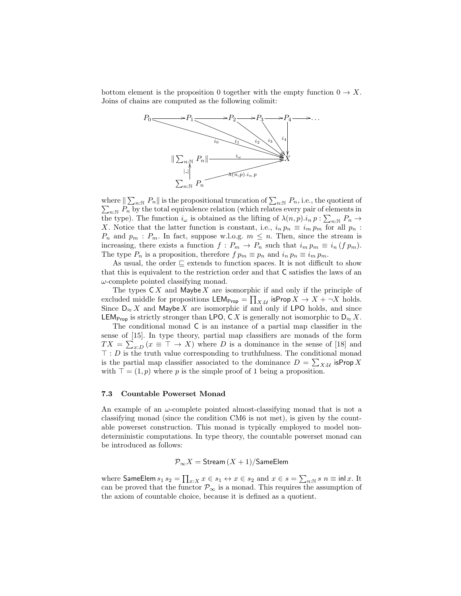bottom element is the proposition 0 together with the empty function  $0 \to X$ . Joins of chains are computed as the following colimit:



where  $\| \sum_{n:\mathbb{N}} P_n \|$  is the propositional truncation of  $\sum$ where  $\|\sum_{n:\mathbb{N}} P_n\|$  is the propositional truncation of  $\sum_{n:\mathbb{N}} P_n$ , i.e., the quotient of  $\sum_{n:\mathbb{N}} P_n$  by the total equivalence relation (which relates every pair of elements in the type). The function  $i_{\omega}$  is obtained as the lifting of  $\lambda(n, p) \cdot i_n p : \sum_{n \in \mathbb{N}} P_n \to$ X. Notice that the latter function is constant, i.e.,  $i_n p_n \equiv i_m p_m$  for all  $p_n$ :  $P_n$  and  $p_m$ :  $P_m$ . In fact, suppose w.l.o.g.  $m \leq n$ . Then, since the stream is increasing, there exists a function  $f: P_m \to P_n$  such that  $i_m p_m \equiv i_n (f p_m)$ . The type  $P_n$  is a proposition, therefore  $f p_m \equiv p_n$  and  $i_n p_n \equiv i_m p_m$ .

As usual, the order  $\subseteq$  extends to function spaces. It is not difficult to show that this is equivalent to the restriction order and that C satisfies the laws of an  $\omega$ -complete pointed classifying monad.

The types  $\mathsf{C} X$  and Maybe X are isomorphic if and only if the principle of excluded middle for propositions  $\mathsf{LEM}_{\mathsf{Prop}} = \prod_{X:\mathcal{U}} \mathsf{isProp}\, X \to X + \neg X$  holds. Since  $D_{\approx} X$  and Maybe X are isomorphic if and only if LPO holds, and since LEM<sub>Prop</sub> is strictly stronger than LPO, C X is generally not isomorphic to  $D_{\approx} X$ .

The conditional monad C is an instance of a partial map classifier in the sense of [15]. In type theory, partial map classifiers are monads of the form  $TX = \sum_{x:D} (x \equiv \top \rightarrow X)$  where D is a dominance in the sense of [18] and  $\top : D$  is the truth value corresponding to truthfulness. The conditional monad is the partial map classifier associated to the dominance  $D = \sum_{X|\mathcal{U}}$  is Prop X with  $\top = (1, p)$  where p is the simple proof of 1 being a proposition.

#### 7.3 Countable Powerset Monad

An example of an  $\omega$ -complete pointed almost-classifying monad that is not a classifying monad (since the condition CM6 is not met), is given by the countable powerset construction. This monad is typically employed to model nondeterministic computations. In type theory, the countable powerset monad can be introduced as follows:

 $\mathcal{P}_{\infty}X =$  Stream  $(X + 1)/$ SameElem

where SameElem  $s_1 s_2 = \prod_{x:X} x \in s_1 \leftrightarrow x \in s_2$  and  $x \in s = \sum_{n:\mathbb{N}} s n \equiv \text{inl } x$ . It can be proved that the functor  $\mathcal{P}_{\infty}$  is a monad. This requires the assumption of the axiom of countable choice, because it is defined as a quotient.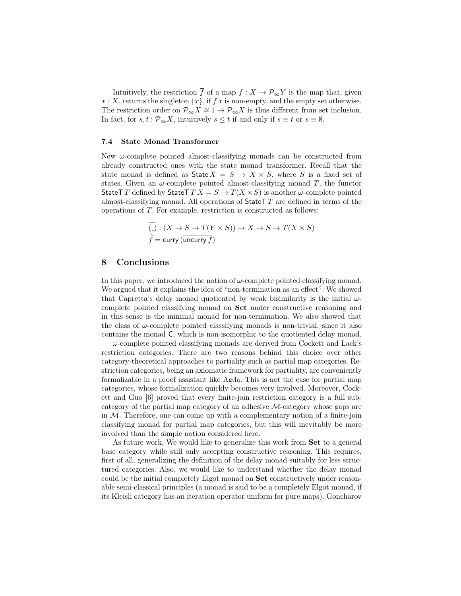Intuitively, the restriction  $\overline{f}$  of a map  $f : X \to \mathcal{P}_{\infty}Y$  is the map that, given  $x: X$ , returns the singleton  $\{x\}$ , if f x is non-empty, and the empty set otherwise. The restriction order on  $\mathcal{P}_{\infty}X \cong 1 \to \mathcal{P}_{\infty}X$  is thus different from set inclusion. In fact, for  $s, t : \mathcal{P}_{\infty}X$ , intuitively  $s \leq t$  if and only if  $s \equiv t$  or  $s \equiv \emptyset$ .

#### 7.4 State Monad Transformer

New  $\omega$ -complete pointed almost-classifying monads can be constructed from already constructed ones with the state monad transformer. Recall that the state monad is defined as State  $X = S \rightarrow X \times S$ , where S is a fixed set of states. Given an  $\omega$ -complete pointed almost-classifying monad T, the functor StateT T defined by StateT  $TX = S \rightarrow T(X \times S)$  is another  $\omega$ -complete pointed almost-classifying monad. All operations of  $\text{StateT } T$  are defined in terms of the operations of T. For example, restriction is constructed as follows:

$$
\widetilde{f} = \text{curv}(\overline{X \times S} \to T(Y \times S)) \to X \to S \to T(X \times S)
$$
\n
$$
\widetilde{f} = \text{curv}(\overline{\text{uncurv}\,f})
$$

## 8 Conclusions

In this paper, we introduced the notion of  $\omega$ -complete pointed classifying monad. We argued that it explains the idea of "non-termination as an effect". We showed that Capretta's delay monad quotiented by weak bisimilarity is the initial  $\omega$ complete pointed classifying monad on Set under constructive reasoning and in this sense is the minimal monad for non-termination. We also showed that the class of  $\omega$ -complete pointed classifying monads is non-trivial, since it also contains the monad C, which is non-isomorphic to the quotiented delay monad.

 $\omega$ -complete pointed classifying monads are derived from Cockett and Lack's restriction categories. There are two reasons behind this choice over other category-theoretical approaches to partiality such as partial map categories. Restriction categories, being an axiomatic framework for partiality, are conveniently formalizable in a proof assistant like Agda. This is not the case for partial map categories, whose formalization quickly becomes very involved. Moreover, Cockett and Guo [6] proved that every finite-join restriction category is a full subcategory of the partial map category of an adhesive M-category whose gaps are in  $M$ . Therefore, one can come up with a complementary notion of a finite-join classifying monad for partial map categories, but this will inevitably be more involved than the simple notion considered here.

As future work, We would like to generalize this work from Set to a general base category while still only accepting constructive reasoning. This requires, first of all, generalizing the definition of the delay monad suitably for less structured categories. Also, we would like to understand whether the delay monad could be the initial completely Elgot monad on Set constructively under reasonable semi-classical principles (a monad is said to be a completely Elgot monad, if its Kleisli category has an iteration operator uniform for pure maps). Goncharov